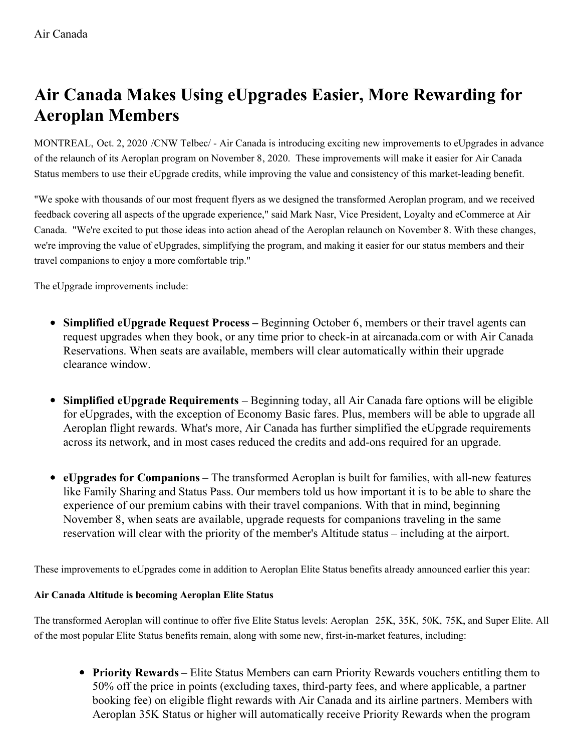## **Air Canada Makes Using eUpgrades Easier, More Rewarding for Aeroplan Members**

MONTREAL, Oct. 2, 2020 /CNW Telbec/ - Air Canada is introducing exciting new improvements to eUpgrades in advance of the relaunch of its Aeroplan program on November 8, 2020. These improvements will make it easier for Air Canada Status members to use their eUpgrade credits, while improving the value and consistency of this market-leading benefit.

"We spoke with thousands of our most frequent flyers as we designed the transformed Aeroplan program, and we received feedback covering all aspects of the upgrade experience," said Mark Nasr, Vice President, Loyalty and eCommerce at Air Canada. "We're excited to put those ideas into action ahead of the Aeroplan relaunch on November 8. With these changes, we're improving the value of eUpgrades, simplifying the program, and making it easier for our status members and their travel companions to enjoy a more comfortable trip."

The eUpgrade improvements include:

- **Simplified eUpgrade Request Process –** Beginning October 6, members or their travel agents can request upgrades when they book, or any time prior to check-in at aircanada.com or with Air Canada Reservations. When seats are available, members will clear automatically within their upgrade clearance window.
- **Simplified eUpgrade Requirements** Beginning today, all Air Canada fare options will be eligible for eUpgrades, with the exception of Economy Basic fares. Plus, members will be able to upgrade all Aeroplan flight rewards. What's more, Air Canada has further simplified the eUpgrade requirements across its network, and in most cases reduced the credits and add-ons required for an upgrade.
- **eUpgrades for Companions** The transformed Aeroplan is built for families, with all-new features like Family Sharing and Status Pass. Our members told us how important it is to be able to share the experience of our premium cabins with their travel companions. With that in mind, beginning November 8, when seats are available, upgrade requests for companions traveling in the same reservation will clear with the priority of the member's Altitude status – including at the airport.

These improvements to eUpgrades come in addition to Aeroplan Elite Status benefits already announced earlier this year:

## **Air Canada Altitude is becoming Aeroplan Elite Status**

The transformed Aeroplan will continue to offer five Elite Status levels: Aeroplan 25K, 35K, 50K, 75K, and Super Elite. All of the most popular Elite Status benefits remain, along with some new, first-in-market features, including:

**Priority Rewards** – Elite Status Members can earn Priority Rewards vouchers entitling them to 50% off the price in points (excluding taxes, third-party fees, and where applicable, a partner booking fee) on eligible flight rewards with Air Canada and its airline partners. Members with Aeroplan 35K Status or higher will automatically receive Priority Rewards when the program